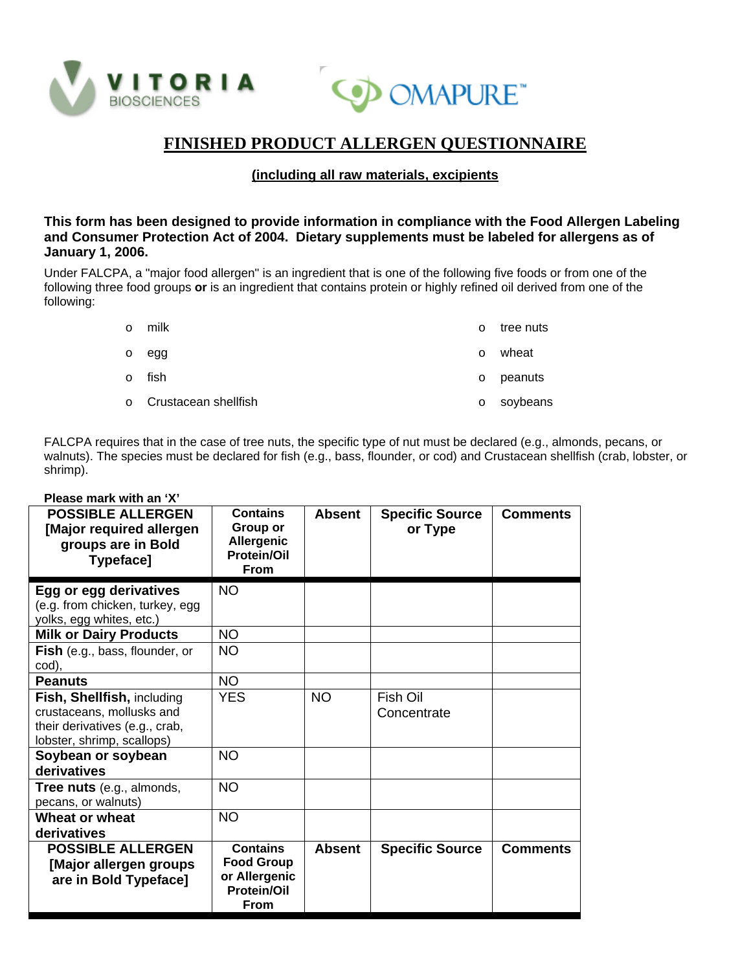



# **FINISHED PRODUCT ALLERGEN QUESTIONNAIRE**

## **(including all raw materials, excipients**

#### **This form has been designed to provide information in compliance with the Food Allergen Labeling and Consumer Protection Act of 2004. Dietary supplements must be labeled for allergens as of January 1, 2006.**

Under FALCPA, a "major food allergen" is an ingredient that is one of the following five foods or from one of the following three food groups **or** is an ingredient that contains protein or highly refined oil derived from one of the following:

o milk

o tree nuts

- o egg
- o fish
- o Crustacean shellfish
- o wheat o peanuts
- o soybeans

FALCPA requires that in the case of tree nuts, the specific type of nut must be declared (e.g., almonds, pecans, or walnuts). The species must be declared for fish (e.g., bass, flounder, or cod) and Crustacean shellfish (crab, lobster, or shrimp).

| <b>POSSIBLE ALLERGEN</b><br>[Major required allergen<br>groups are in Bold<br>Typeface]                                 | <b>Contains</b><br>Group or<br>Allergenic<br><b>Protein/Oil</b><br><b>From</b>      | <b>Absent</b> | <b>Specific Source</b><br>or Type | <b>Comments</b> |
|-------------------------------------------------------------------------------------------------------------------------|-------------------------------------------------------------------------------------|---------------|-----------------------------------|-----------------|
| Egg or egg derivatives<br>(e.g. from chicken, turkey, egg<br>yolks, egg whites, etc.)                                   | <b>NO</b>                                                                           |               |                                   |                 |
| <b>Milk or Dairy Products</b>                                                                                           | NO.                                                                                 |               |                                   |                 |
| Fish (e.g., bass, flounder, or<br>cod),                                                                                 | <b>NO</b>                                                                           |               |                                   |                 |
| <b>Peanuts</b>                                                                                                          | <b>NO</b>                                                                           |               |                                   |                 |
| Fish, Shellfish, including<br>crustaceans, mollusks and<br>their derivatives (e.g., crab,<br>lobster, shrimp, scallops) | <b>YES</b>                                                                          | <b>NO</b>     | Fish Oil<br>Concentrate           |                 |
| Soybean or soybean<br>derivatives                                                                                       | <b>NO</b>                                                                           |               |                                   |                 |
| Tree nuts (e.g., almonds,<br>pecans, or walnuts)                                                                        | <b>NO</b>                                                                           |               |                                   |                 |
| Wheat or wheat<br>derivatives                                                                                           | <b>NO</b>                                                                           |               |                                   |                 |
| <b>POSSIBLE ALLERGEN</b><br>[Major allergen groups<br>are in Bold Typeface]                                             | <b>Contains</b><br><b>Food Group</b><br>or Allergenic<br><b>Protein/Oil</b><br>From | <b>Absent</b> | <b>Specific Source</b>            | <b>Comments</b> |